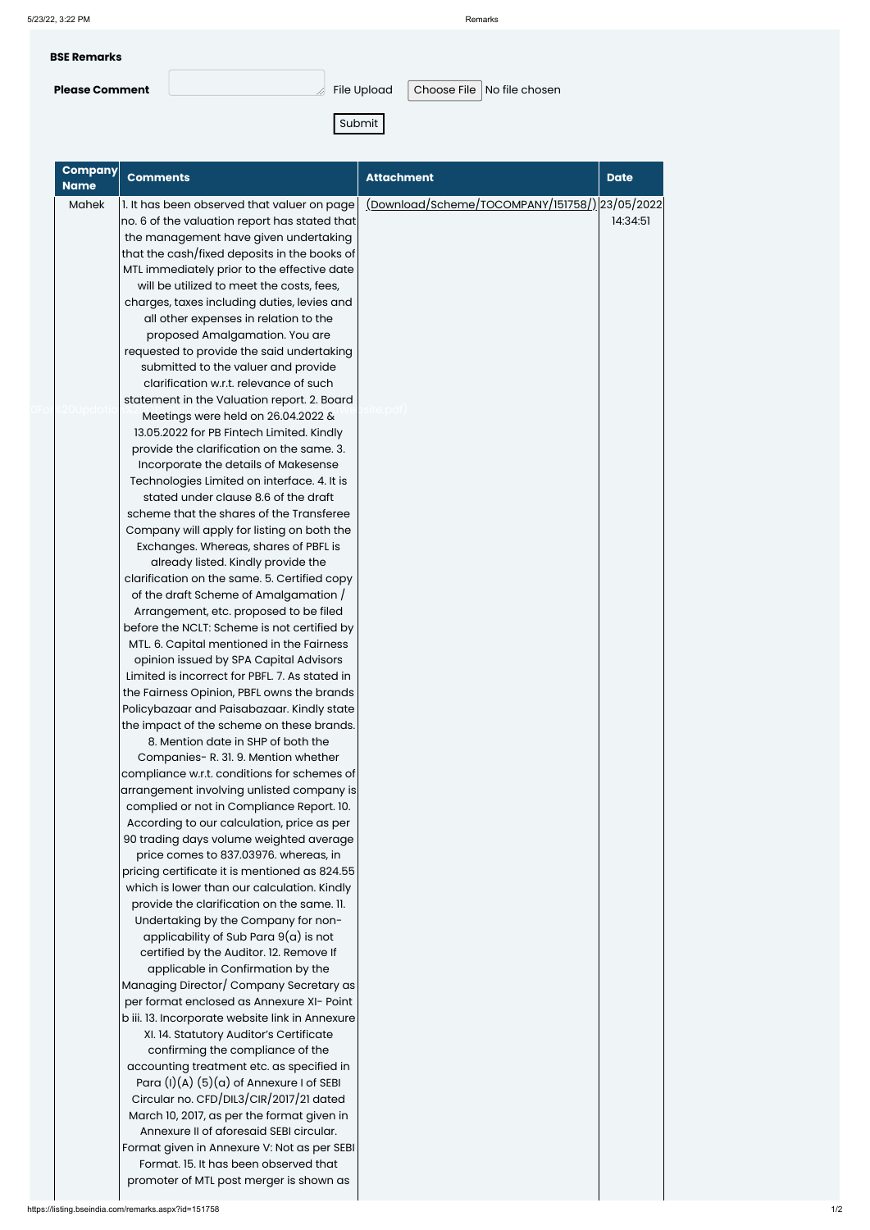| <b>BSE Remarks</b>    |                         |                              |
|-----------------------|-------------------------|------------------------------|
| <b>Please Comment</b> | $\mathbb A$ File Upload | Choose File   No file chosen |

Submit

| <b>Company</b><br><b>Name</b> | <b>Comments</b>                                | <b>Attachment</b>                            | <b>Date</b> |
|-------------------------------|------------------------------------------------|----------------------------------------------|-------------|
| Mahek                         | 1. It has been observed that valuer on page    | Download/Scheme/TOCOMPANY/151758/)23/05/2022 |             |
|                               | no. 6 of the valuation report has stated that  |                                              | 14:34:51    |
|                               | the management have given undertaking          |                                              |             |
|                               | that the cash/fixed deposits in the books of   |                                              |             |
|                               | MTL immediately prior to the effective date    |                                              |             |
|                               | will be utilized to meet the costs, fees,      |                                              |             |
|                               | charges, taxes including duties, levies and    |                                              |             |
|                               | all other expenses in relation to the          |                                              |             |
|                               | proposed Amalgamation. You are                 |                                              |             |
|                               | requested to provide the said undertaking      |                                              |             |
|                               | submitted to the valuer and provide            |                                              |             |
|                               | clarification w.r.t. relevance of such         |                                              |             |
|                               | statement in the Valuation report. 2. Board    |                                              |             |
|                               | Meetings were held on 26.04.2022 &             |                                              |             |
|                               | 13.05.2022 for PB Fintech Limited. Kindly      |                                              |             |
|                               | provide the clarification on the same. 3.      |                                              |             |
|                               | Incorporate the details of Makesense           |                                              |             |
|                               | Technologies Limited on interface. 4. It is    |                                              |             |
|                               | stated under clause 8.6 of the draft           |                                              |             |
|                               | scheme that the shares of the Transferee       |                                              |             |
|                               | Company will apply for listing on both the     |                                              |             |
|                               | Exchanges. Whereas, shares of PBFL is          |                                              |             |
|                               | already listed. Kindly provide the             |                                              |             |
|                               | clarification on the same. 5. Certified copy   |                                              |             |
|                               | of the draft Scheme of Amalgamation /          |                                              |             |
|                               | Arrangement, etc. proposed to be filed         |                                              |             |
|                               | before the NCLT: Scheme is not certified by    |                                              |             |
|                               | MTL. 6. Capital mentioned in the Fairness      |                                              |             |
|                               | opinion issued by SPA Capital Advisors         |                                              |             |
|                               | Limited is incorrect for PBFL. 7. As stated in |                                              |             |
|                               | the Fairness Opinion, PBFL owns the brands     |                                              |             |
|                               | Policybazaar and Paisabazaar. Kindly state     |                                              |             |
|                               | the impact of the scheme on these brands.      |                                              |             |
|                               | 8. Mention date in SHP of both the             |                                              |             |
|                               | Companies- R. 31. 9. Mention whether           |                                              |             |
|                               | compliance w.r.t. conditions for schemes of    |                                              |             |
|                               | arrangement involving unlisted company is      |                                              |             |
|                               | complied or not in Compliance Report. 10.      |                                              |             |
|                               | According to our calculation, price as per     |                                              |             |
|                               | 90 trading days volume weighted average        |                                              |             |
|                               | price comes to 837.03976. whereas, in          |                                              |             |
|                               | pricing certificate it is mentioned as 824.55  |                                              |             |
|                               | which is lower than our calculation. Kindly    |                                              |             |
|                               | provide the clarification on the same. 11.     |                                              |             |
|                               | Undertaking by the Company for non-            |                                              |             |

applicability of Sub Para 9(a) is not certified by the Auditor. 12. Remove If applicable in Confirmation by the Managing Director/ Company Secretary as per format enclosed as Annexure XI- Point b iii. 13. Incorporate website link in Annexure XI. 14. Statutory Auditor's Certificate confirming the compliance of the accounting treatment etc. as specified in Para  $(I)(A)$   $(5)(a)$  of Annexure I of SEBI Circular no. CFD/DIL3/CIR/2017/21 dated March 10, 2017, as per the format given in Annexure II of aforesaid SEBI circular. Format given in Annexure V: Not as per SEBI Format. 15. It has been observed that promoter of MTL post merger is shown as